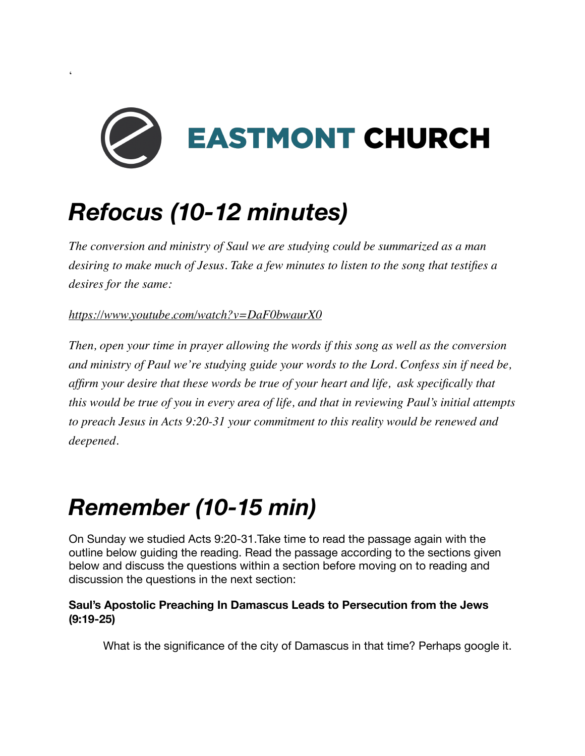

# *Refocus (10-12 minutes)*

 $\ddot{\phantom{0}}$ 

*The conversion and ministry of Saul we are studying could be summarized as a man desiring to make much of Jesus. Take a few minutes to listen to the song that testifies a desires for the same:*

*<https://www.youtube.com/watch?v=DaF0bwaurX0>*

*Then, open your time in prayer allowing the words if this song as well as the conversion and ministry of Paul we're studying guide your words to the Lord. Confess sin if need be, affirm your desire that these words be true of your heart and life, ask specifically that this would be true of you in every area of life, and that in reviewing Paul's initial attempts to preach Jesus in Acts 9:20-31 your commitment to this reality would be renewed and deepened.*

## *Remember (10-15 min)*

On Sunday we studied Acts 9:20-31.Take time to read the passage again with the outline below guiding the reading. Read the passage according to the sections given below and discuss the questions within a section before moving on to reading and discussion the questions in the next section:

### **Saul's Apostolic Preaching In Damascus Leads to Persecution from the Jews (9:19-25)**

What is the significance of the city of Damascus in that time? Perhaps google it.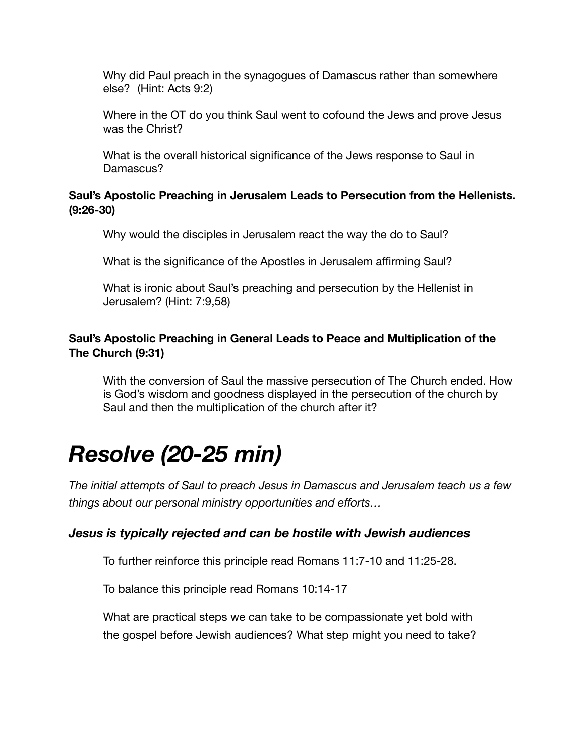Why did Paul preach in the synagogues of Damascus rather than somewhere else? (Hint: Acts 9:2)

Where in the OT do you think Saul went to cofound the Jews and prove Jesus was the Christ?

What is the overall historical significance of the Jews response to Saul in Damascus?

#### **Saul's Apostolic Preaching in Jerusalem Leads to Persecution from the Hellenists. (9:26-30)**

Why would the disciples in Jerusalem react the way the do to Saul?

What is the significance of the Apostles in Jerusalem affirming Saul?

What is ironic about Saul's preaching and persecution by the Hellenist in Jerusalem? (Hint: 7:9,58)

#### **Saul's Apostolic Preaching in General Leads to Peace and Multiplication of the The Church (9:31)**

With the conversion of Saul the massive persecution of The Church ended. How is God's wisdom and goodness displayed in the persecution of the church by Saul and then the multiplication of the church after it?

### *Resolve (20-25 min)*

*The initial attempts of Saul to preach Jesus in Damascus and Jerusalem teach us a few things about our personal ministry opportunities and efforts…* 

### *Jesus is typically rejected and can be hostile with Jewish audiences*

To further reinforce this principle read Romans 11:7-10 and 11:25-28.

To balance this principle read Romans 10:14-17

What are practical steps we can take to be compassionate yet bold with the gospel before Jewish audiences? What step might you need to take?